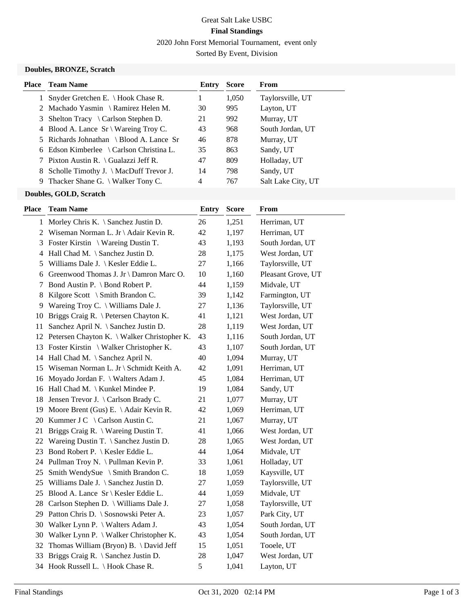# Great Salt Lake USBC **Final Standings**

2020 John Forst Memorial Tournament, event only

Sorted By Event, Division

#### **Doubles, BRONZE, Scratch**

|    | <b>Place</b> Team Name                            | Entry | <b>Score</b> | From               |
|----|---------------------------------------------------|-------|--------------|--------------------|
|    | Snyder Gretchen E. \ Hook Chase R.                |       | 1,050        | Taylorsville, UT   |
|    | 2 Machado Yasmin \ Ramirez Helen M.               | 30    | 995          | Layton, UT         |
| 3  | Shelton Tracy $\setminus$ Carlson Stephen D.      | 21    | 992          | Murray, UT         |
|    | 4 Blood A. Lance $Sr \setminus W$ are ing Troy C. | 43    | 968          | South Jordan, UT   |
|    | 5 Richards Johnathan \ Blood A. Lance Sr          | 46    | 878          | Murray, UT         |
|    | 6 Edson Kimberlee \ Carlson Christina L.          | 35    | 863          | Sandy, UT          |
|    | 7 Pixton Austin R. \ Gualazzi Jeff R.             | 47    | 809          | Holladay, UT       |
|    | 8 Scholle Timothy J. \ MacDuff Trevor J.          | 14    | 798          | Sandy, UT          |
| 9. | Thacker Shane G. $\setminus$ Walker Tony C.       | 4     | 767          | Salt Lake City, UT |
|    |                                                   |       |              |                    |

# **Doubles, GOLD, Scratch**

| Place        | <b>Team Name</b>                            | <b>Entry</b> | <b>Score</b> | From               |
|--------------|---------------------------------------------|--------------|--------------|--------------------|
| $\mathbf{1}$ | Morley Chris K. \ Sanchez Justin D.         | 26           | 1,251        | Herriman, UT       |
| 2            | Wiseman Norman L. Jr \ Adair Kevin R.       | 42           | 1,197        | Herriman, UT       |
| 3            | Foster Kirstin \ Wareing Dustin T.          | 43           | 1,193        | South Jordan, UT   |
| 4            | Hall Chad M. \ Sanchez Justin D.            | 28           | 1,175        | West Jordan, UT    |
| 5            | Williams Dale J. \ Kesler Eddie L.          | 27           | 1,166        | Taylorsville, UT   |
| 6            | Greenwood Thomas J. Jr \ Damron Marc O.     | 10           | 1,160        | Pleasant Grove, UT |
| 7            | Bond Austin P. \ Bond Robert P.             | 44           | 1,159        | Midvale, UT        |
| 8            | Kilgore Scott \ Smith Brandon C.            | 39           | 1,142        | Farmington, UT     |
|              | 9 Wareing Troy C. \ Williams Dale J.        | 27           | 1,136        | Taylorsville, UT   |
| 10           | Briggs Craig R. \ Petersen Chayton K.       | 41           | 1,121        | West Jordan, UT    |
| 11           | Sanchez April N. \ Sanchez Justin D.        | 28           | 1,119        | West Jordan, UT    |
| 12           | Petersen Chayton K. \ Walker Christopher K. | 43           | 1,116        | South Jordan, UT   |
| 13           | Foster Kirstin \ Walker Christopher K.      | 43           | 1,107        | South Jordan, UT   |
|              | 14 Hall Chad M. \ Sanchez April N.          | 40           | 1,094        | Murray, UT         |
|              | 15 Wiseman Norman L. Jr \ Schmidt Keith A.  | 42           | 1,091        | Herriman, UT       |
|              | 16 Moyado Jordan F. \ Walters Adam J.       | 45           | 1,084        | Herriman, UT       |
|              | 16 Hall Chad M. \ Kunkel Mindee P.          | 19           | 1,084        | Sandy, UT          |
| 18           | Jensen Trevor J. \ Carlson Brady C.         | 21           | 1,077        | Murray, UT         |
|              | 19 Moore Brent (Gus) E. \Adair Kevin R.     | 42           | 1,069        | Herriman, UT       |
| 20           | Kummer J C $\setminus$ Carlson Austin C.    | 21           | 1,067        | Murray, UT         |
| 21           | Briggs Craig R. \ Wareing Dustin T.         | 41           | 1,066        | West Jordan, UT    |
| 22           | Wareing Dustin T. $\S$ anchez Justin D.     | 28           | 1,065        | West Jordan, UT    |
| 23           | Bond Robert P. \ Kesler Eddie L.            | 44           | 1,064        | Midvale, UT        |
| 24           | Pullman Troy N. \ Pullman Kevin P.          | 33           | 1,061        | Holladay, UT       |
| 25           | Smith WendySue \ Smith Brandon C.           | 18           | 1,059        | Kaysville, UT      |
| 25           | Williams Dale J. \ Sanchez Justin D.        | 27           | 1,059        | Taylorsville, UT   |
| 25           | Blood A. Lance Sr \ Kesler Eddie L.         | 44           | 1,059        | Midvale, UT        |
| $28\,$       | Carlson Stephen D. \ Williams Dale J.       | 27           | 1,058        | Taylorsville, UT   |
| 29           | Patton Chris D. \ Sosnowski Peter A.        | 23           | 1,057        | Park City, UT      |
| 30           | Walker Lynn P. $\setminus$ Walters Adam J.  | 43           | 1,054        | South Jordan, UT   |
| 30           | Walker Lynn P. \ Walker Christopher K.      | 43           | 1,054        | South Jordan, UT   |
| 32           | Thomas William (Bryon) B. \David Jeff       | 15           | 1,051        | Tooele, UT         |
| 33           | Briggs Craig R. \ Sanchez Justin D.         | 28           | 1,047        | West Jordan, UT    |
|              | 34 Hook Russell L. \ Hook Chase R.          | 5            | 1,041        | Layton, UT         |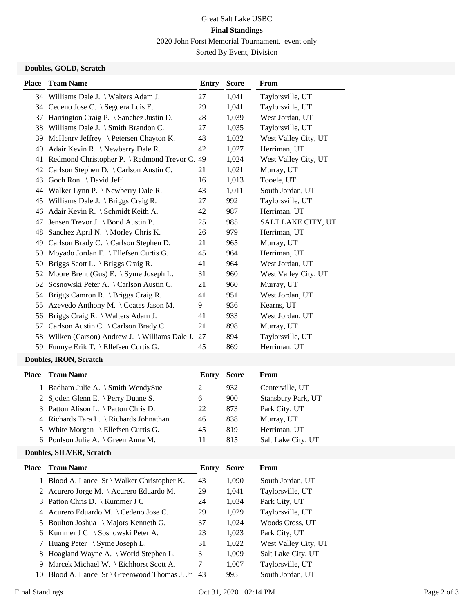# Great Salt Lake USBC **Final Standings**

2020 John Forst Memorial Tournament, event only

Sorted By Event, Division

#### **Doubles, GOLD, Scratch**

| Place | <b>Team Name</b>                                     | Entry | <b>Score</b> | <b>From</b>               |
|-------|------------------------------------------------------|-------|--------------|---------------------------|
|       | 34 Williams Dale J. \ Walters Adam J.                | 27    | 1,041        | Taylorsville, UT          |
|       | 34 Cedeno Jose C. \ Seguera Luis E.                  | 29    | 1,041        | Taylorsville, UT          |
| 37    | Harrington Craig P. \ Sanchez Justin D.              | 28    | 1,039        | West Jordan, UT           |
| 38    | Williams Dale J. $\mathcal S$ mith Brandon C.        | 27    | 1,035        | Taylorsville, UT          |
| 39    | McHenry Jeffrey \ Petersen Chayton K.                | 48    | 1,032        | West Valley City, UT      |
| 40    | Adair Kevin R. \ Newberry Dale R.                    | 42    | 1,027        | Herriman, UT              |
| 41    | Redmond Christopher P. \ Redmond Trevor C.           | 49    | 1,024        | West Valley City, UT      |
| 42    | Carlson Stephen D. \ Carlson Austin C.               | 21    | 1,021        | Murray, UT                |
| 43    | Goch Ron \ David Jeff                                | 16    | 1,013        | Tooele, UT                |
| 44    | Walker Lynn P. $\backslash$ Newberry Dale R.         | 43    | 1,011        | South Jordan, UT          |
| 45    | Williams Dale J. $\langle$ Briggs Craig R.           | 27    | 992          | Taylorsville, UT          |
| 46    | Adair Kevin R. \ Schmidt Keith A.                    | 42    | 987          | Herriman, UT              |
| 47    | Jensen Trevor J. $\setminus$ Bond Austin P.          | 25    | 985          | <b>SALT LAKE CITY, UT</b> |
| 48    | Sanchez April N. \ Morley Chris K.                   | 26    | 979          | Herriman, UT              |
| 49    | Carlson Brady C. \ Carlson Stephen D.                | 21    | 965          | Murray, UT                |
| 50    | Moyado Jordan F. \ Ellefsen Curtis G.                | 45    | 964          | Herriman, UT              |
| 50    | Briggs Scott L. $\langle$ Briggs Craig R.            | 41    | 964          | West Jordan, UT           |
| 52    | Moore Brent (Gus) E. $\setminus$ Syme Joseph L.      | 31    | 960          | West Valley City, UT      |
| 52    | Sosnowski Peter A. \ Carlson Austin C.               | 21    | 960          | Murray, UT                |
| 54    | Briggs Camron R. \ Briggs Craig R.                   | 41    | 951          | West Jordan, UT           |
| 55    | Azevedo Anthony M. \Coates Jason M.                  | 9     | 936          | Kearns, UT                |
| 56    | Briggs Craig R. \ Walters Adam J.                    | 41    | 933          | West Jordan, UT           |
| 57    | Carlson Austin C. \ Carlson Brady C.                 | 21    | 898          | Murray, UT                |
| 58    | Wilken (Carson) Andrew J. $\forall$ Williams Dale J. | 27    | 894          | Taylorsville, UT          |
| 59    | Funnye Erik T. \ Ellefsen Curtis G.                  | 45    | 869          | Herriman, UT              |
|       |                                                      |       |              |                           |

#### **Doubles, IRON, Scratch**

| Place Team Name                         | Entry | <b>Score</b> | From               |
|-----------------------------------------|-------|--------------|--------------------|
| 1 Badham Julie A. \ Smith WendySue      |       | 932          | Centerville, UT    |
| 2 Sjoden Glenn E. \ Perry Duane S.      | 6     | 900          | Stansbury Park, UT |
| 3 Patton Alison L. \ Patton Chris D.    | 22    | 873          | Park City, UT      |
| 4 Richards Tara L. \ Richards Johnathan | 46    | 838          | Murray, UT         |
| 5 White Morgan \ Ellefsen Curtis G.     | 45    | 819          | Herriman, UT       |
| 6 Poulson Julie A. \ Green Anna M.      | 11    | 815          | Salt Lake City, UT |
|                                         |       |              |                    |

### **Doubles, SILVER, Scratch**

|    | <b>Place</b> Team Name                        | Entry | <b>Score</b> | From                 |
|----|-----------------------------------------------|-------|--------------|----------------------|
|    | 1 Blood A. Lance $Sr \ Nalker$ Christopher K. | 43    | 1,090        | South Jordan, UT     |
|    | 2 Acurero Jorge M. \Acurero Eduardo M.        | 29    | 1,041        | Taylorsville, UT     |
|    | 3 Patton Chris D.   Kummer J C                | 24    | 1,034        | Park City, UT        |
|    | 4 Acurero Eduardo M. \ Cedeno Jose C.         | 29    | 1,029        | Taylorsville, UT     |
|    | 5 Boulton Joshua \ Majors Kenneth G.          | 37    | 1,024        | Woods Cross, UT      |
|    | 6 Kummer J C $\setminus$ Sosnowski Peter A.   | 23    | 1,023        | Park City, UT        |
|    | 7 Huang Peter \ Syme Joseph L.                | 31    | 1,022        | West Valley City, UT |
|    | 8 Hoagland Wayne A. \ World Stephen L.        | 3     | 1,009        | Salt Lake City, UT   |
|    | 9 Marcek Michael W. \ Eichhorst Scott A.      | 7     | 1,007        | Taylorsville, UT     |
| 10 | Blood A. Lance $Sr \ G$ reenwood Thomas J. Jr | -43   | 995          | South Jordan, UT     |